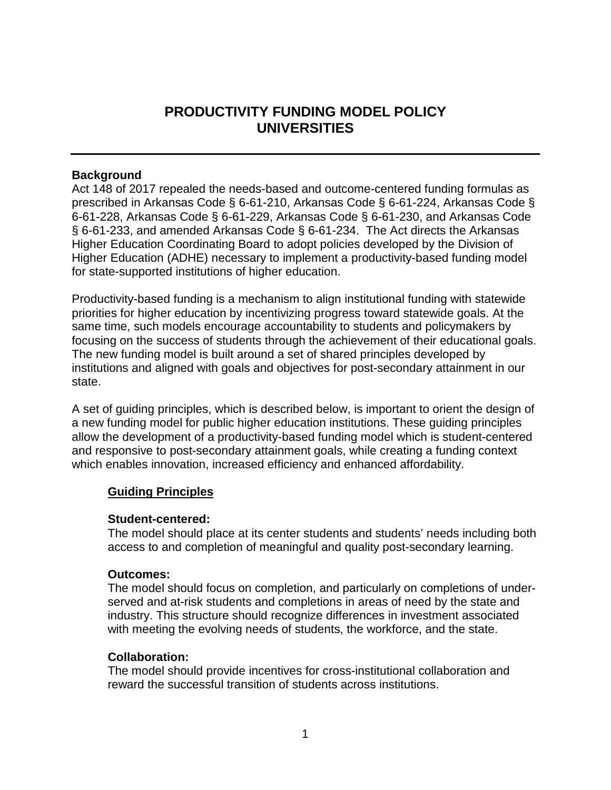# **PRODUCTIVITY FUNDING MODEL POLICY UNIVERSITIES**

# **Background**

Act 148 of 2017 repealed the needs-based and outcome-centered funding formulas as prescribed in Arkansas Code § 6-61-210, Arkansas Code § 6-61-224, Arkansas Code § 6-61-228, Arkansas Code § 6-61-229, Arkansas Code § 6-61-230, and Arkansas Code § 6-61-233, and amended Arkansas Code § 6-61-234. The Act directs the Arkansas Higher Education Coordinating Board to adopt policies developed by the Division of Higher Education (ADHE) necessary to implement a productivity-based funding model for state-supported institutions of higher education.

Productivity-based funding is a mechanism to align institutional funding with statewide priorities for higher education by incentivizing progress toward statewide goals. At the same time, such models encourage accountability to students and policymakers by focusing on the success of students through the achievement of their educational goals. The new funding model is built around a set of shared principles developed by institutions and aligned with goals and objectives for post-secondary attainment in our state.

A set of guiding principles, which is described below, is important to orient the design of a new funding model for public higher education institutions. These guiding principles allow the development of a productivity-based funding model which is student-centered and responsive to post-secondary attainment goals, while creating a funding context which enables innovation, increased efficiency and enhanced affordability.

# **Guiding Principles**

# **Student-centered:**

The model should place at its center students and students' needs including both access to and completion of meaningful and quality post-secondary learning.

# **Outcomes:**

The model should focus on completion, and particularly on completions of underserved and at-risk students and completions in areas of need by the state and industry. This structure should recognize differences in investment associated with meeting the evolving needs of students, the workforce, and the state.

# **Collaboration:**

The model should provide incentives for cross-institutional collaboration and reward the successful transition of students across institutions.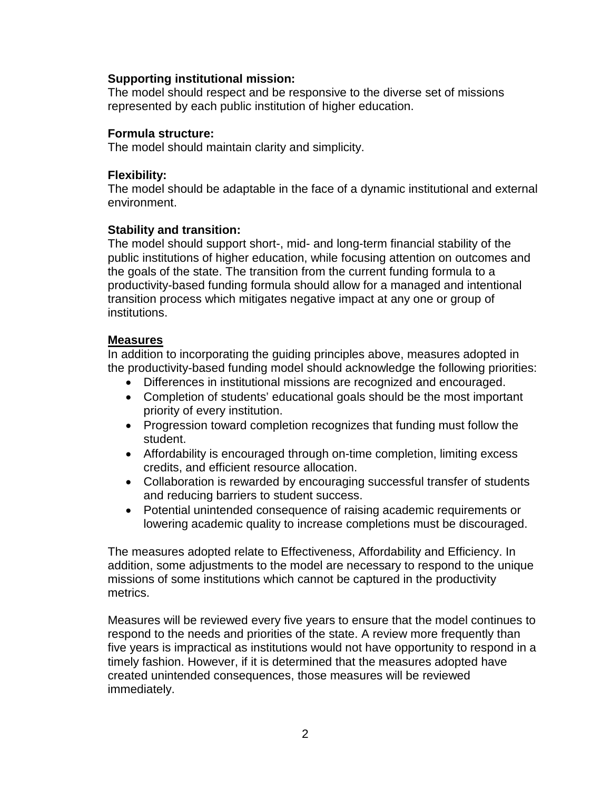### **Supporting institutional mission:**

The model should respect and be responsive to the diverse set of missions represented by each public institution of higher education.

### **Formula structure:**

The model should maintain clarity and simplicity.

### **Flexibility:**

The model should be adaptable in the face of a dynamic institutional and external environment.

### **Stability and transition:**

The model should support short-, mid- and long-term financial stability of the public institutions of higher education, while focusing attention on outcomes and the goals of the state. The transition from the current funding formula to a productivity-based funding formula should allow for a managed and intentional transition process which mitigates negative impact at any one or group of institutions.

### **Measures**

In addition to incorporating the guiding principles above, measures adopted in the productivity-based funding model should acknowledge the following priorities:

- Differences in institutional missions are recognized and encouraged.
- Completion of students' educational goals should be the most important priority of every institution.
- Progression toward completion recognizes that funding must follow the student.
- Affordability is encouraged through on-time completion, limiting excess credits, and efficient resource allocation.
- Collaboration is rewarded by encouraging successful transfer of students and reducing barriers to student success.
- Potential unintended consequence of raising academic requirements or lowering academic quality to increase completions must be discouraged.

The measures adopted relate to Effectiveness, Affordability and Efficiency. In addition, some adjustments to the model are necessary to respond to the unique missions of some institutions which cannot be captured in the productivity metrics.

Measures will be reviewed every five years to ensure that the model continues to respond to the needs and priorities of the state. A review more frequently than five years is impractical as institutions would not have opportunity to respond in a timely fashion. However, if it is determined that the measures adopted have created unintended consequences, those measures will be reviewed immediately.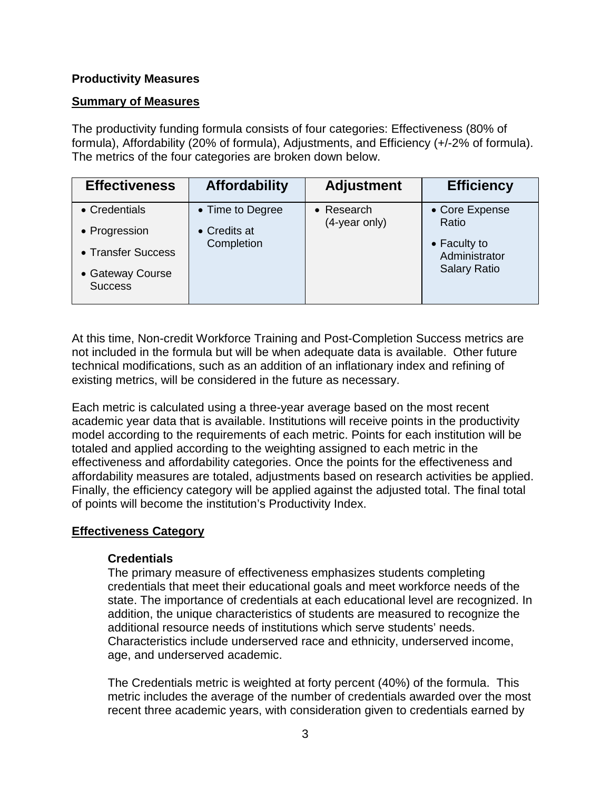# **Productivity Measures**

# **Summary of Measures**

The productivity funding formula consists of four categories: Effectiveness (80% of formula), Affordability (20% of formula), Adjustments, and Efficiency (+/-2% of formula). The metrics of the four categories are broken down below.

| <b>Effectiveness</b>               | <b>Affordability</b> | <b>Adjustment</b>                   | <b>Efficiency</b>             |
|------------------------------------|----------------------|-------------------------------------|-------------------------------|
| • Credentials                      | • Time to Degree     | $\bullet$ Research<br>(4-year only) | • Core Expense<br>Ratio       |
| • Progression                      | • Credits at         |                                     |                               |
| • Transfer Success                 | Completion           |                                     | • Faculty to<br>Administrator |
| • Gateway Course<br><b>Success</b> |                      |                                     | <b>Salary Ratio</b>           |

At this time, Non-credit Workforce Training and Post-Completion Success metrics are not included in the formula but will be when adequate data is available. Other future technical modifications, such as an addition of an inflationary index and refining of existing metrics, will be considered in the future as necessary.

Each metric is calculated using a three-year average based on the most recent academic year data that is available. Institutions will receive points in the productivity model according to the requirements of each metric. Points for each institution will be totaled and applied according to the weighting assigned to each metric in the effectiveness and affordability categories. Once the points for the effectiveness and affordability measures are totaled, adjustments based on research activities be applied. Finally, the efficiency category will be applied against the adjusted total. The final total of points will become the institution's Productivity Index.

# **Effectiveness Category**

# **Credentials**

The primary measure of effectiveness emphasizes students completing credentials that meet their educational goals and meet workforce needs of the state. The importance of credentials at each educational level are recognized. In addition, the unique characteristics of students are measured to recognize the additional resource needs of institutions which serve students' needs. Characteristics include underserved race and ethnicity, underserved income, age, and underserved academic.

The Credentials metric is weighted at forty percent (40%) of the formula. This metric includes the average of the number of credentials awarded over the most recent three academic years, with consideration given to credentials earned by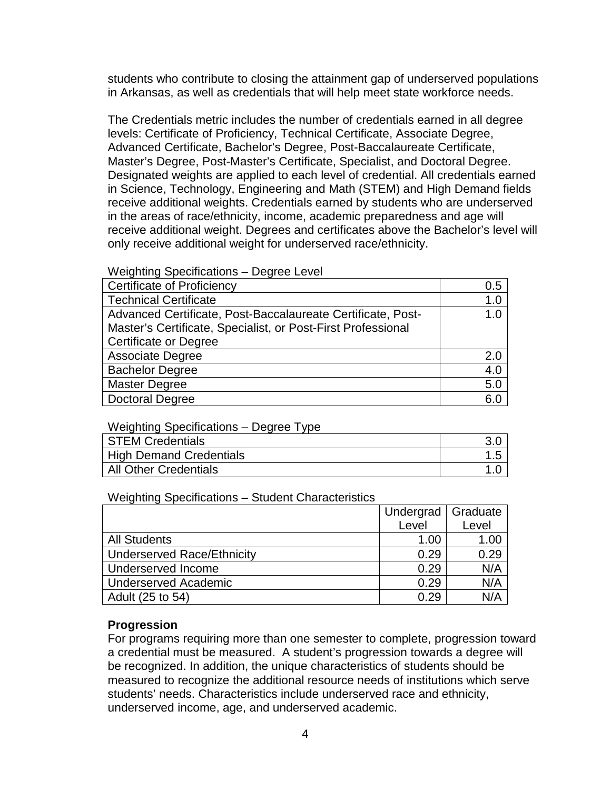students who contribute to closing the attainment gap of underserved populations in Arkansas, as well as credentials that will help meet state workforce needs.

The Credentials metric includes the number of credentials earned in all degree levels: Certificate of Proficiency, Technical Certificate, Associate Degree, Advanced Certificate, Bachelor's Degree, Post-Baccalaureate Certificate, Master's Degree, Post-Master's Certificate, Specialist, and Doctoral Degree. Designated weights are applied to each level of credential. All credentials earned in Science, Technology, Engineering and Math (STEM) and High Demand fields receive additional weights. Credentials earned by students who are underserved in the areas of race/ethnicity, income, academic preparedness and age will receive additional weight. Degrees and certificates above the Bachelor's level will only receive additional weight for underserved race/ethnicity.

#### Weighting Specifications – Degree Level

| <b>Certificate of Proficiency</b>                            | 0.5 |
|--------------------------------------------------------------|-----|
| <b>Technical Certificate</b>                                 | 1.0 |
| Advanced Certificate, Post-Baccalaureate Certificate, Post-  | 1.0 |
| Master's Certificate, Specialist, or Post-First Professional |     |
| <b>Certificate or Degree</b>                                 |     |
| <b>Associate Degree</b>                                      | 2.0 |
| <b>Bachelor Degree</b>                                       | 4.0 |
| <b>Master Degree</b>                                         | 5.0 |
| <b>Doctoral Degree</b>                                       | 6.0 |

### Weighting Specifications – Degree Type

| STEM Credentials        |  |
|-------------------------|--|
| High Demand Credentials |  |
| All Other Credentials   |  |

#### Weighting Specifications – Student Characteristics

|                            | Undergrad | Graduate |
|----------------------------|-----------|----------|
|                            | Level     | Level    |
| <b>All Students</b>        | 1.00      | 1.00     |
| Underserved Race/Ethnicity | 0.29      | 0.29     |
| Underserved Income         | 0.29      | N/A      |
| Underserved Academic       | 0.29      | N/A      |
| Adult (25 to 54)           | 0.29      | N/A      |

### **Progression**

For programs requiring more than one semester to complete, progression toward a credential must be measured. A student's progression towards a degree will be recognized. In addition, the unique characteristics of students should be measured to recognize the additional resource needs of institutions which serve students' needs. Characteristics include underserved race and ethnicity, underserved income, age, and underserved academic.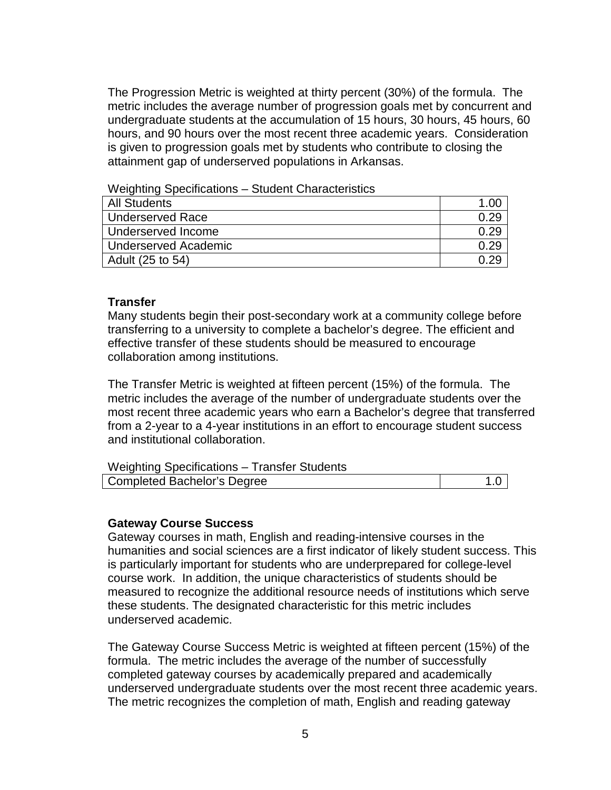The Progression Metric is weighted at thirty percent (30%) of the formula. The metric includes the average number of progression goals met by concurrent and undergraduate students at the accumulation of 15 hours, 30 hours, 45 hours, 60 hours, and 90 hours over the most recent three academic years. Consideration is given to progression goals met by students who contribute to closing the attainment gap of underserved populations in Arkansas.

Weighting Specifications – Student Characteristics

| <b>All Students</b>  |  |
|----------------------|--|
| Underserved Race     |  |
| Underserved Income   |  |
| Underserved Academic |  |
| Adult (25 to 54)     |  |

### **Transfer**

Many students begin their post-secondary work at a community college before transferring to a university to complete a bachelor's degree. The efficient and effective transfer of these students should be measured to encourage collaboration among institutions.

The Transfer Metric is weighted at fifteen percent (15%) of the formula. The metric includes the average of the number of undergraduate students over the most recent three academic years who earn a Bachelor's degree that transferred from a 2-year to a 4-year institutions in an effort to encourage student success and institutional collaboration.

| Weighting Specifications - Transfer Students |  |
|----------------------------------------------|--|
| <b>Completed Bachelor's Degree</b>           |  |

#### **Gateway Course Success**

Gateway courses in math, English and reading-intensive courses in the humanities and social sciences are a first indicator of likely student success. This is particularly important for students who are underprepared for college-level course work. In addition, the unique characteristics of students should be measured to recognize the additional resource needs of institutions which serve these students. The designated characteristic for this metric includes underserved academic.

The Gateway Course Success Metric is weighted at fifteen percent (15%) of the formula. The metric includes the average of the number of successfully completed gateway courses by academically prepared and academically underserved undergraduate students over the most recent three academic years. The metric recognizes the completion of math, English and reading gateway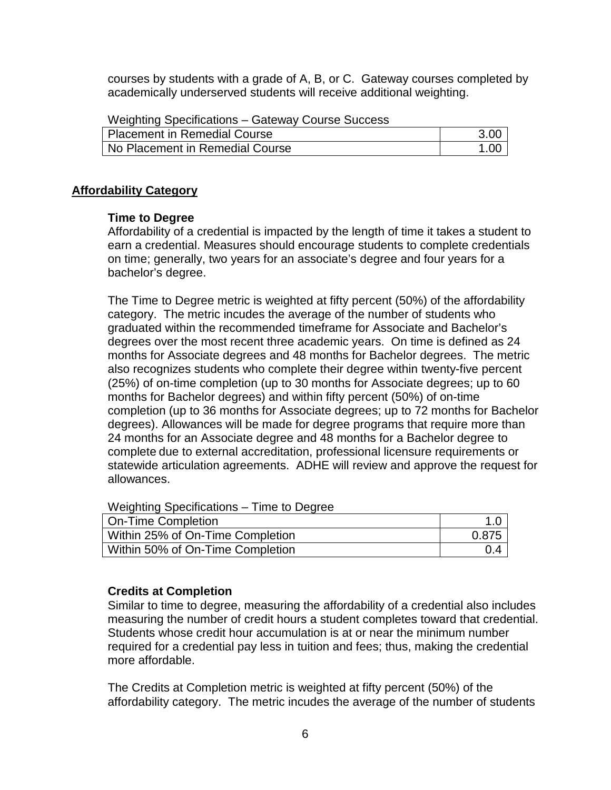courses by students with a grade of A, B, or C. Gateway courses completed by academically underserved students will receive additional weighting.

| Placement in Remedial Course    | 3.00 |
|---------------------------------|------|
| No Placement in Remedial Course | .00  |

### **Affordability Category**

### **Time to Degree**

Affordability of a credential is impacted by the length of time it takes a student to earn a credential. Measures should encourage students to complete credentials on time; generally, two years for an associate's degree and four years for a bachelor's degree.

The Time to Degree metric is weighted at fifty percent (50%) of the affordability category. The metric incudes the average of the number of students who graduated within the recommended timeframe for Associate and Bachelor's degrees over the most recent three academic years. On time is defined as 24 months for Associate degrees and 48 months for Bachelor degrees. The metric also recognizes students who complete their degree within twenty-five percent (25%) of on-time completion (up to 30 months for Associate degrees; up to 60 months for Bachelor degrees) and within fifty percent (50%) of on-time completion (up to 36 months for Associate degrees; up to 72 months for Bachelor degrees). Allowances will be made for degree programs that require more than 24 months for an Associate degree and 48 months for a Bachelor degree to complete due to external accreditation, professional licensure requirements or statewide articulation agreements. ADHE will review and approve the request for allowances.

Weighting Specifications – Time to Degree

| On-Time Completion               |       |
|----------------------------------|-------|
| Within 25% of On-Time Completion | 0.875 |
| Within 50% of On-Time Completion |       |

# **Credits at Completion**

Similar to time to degree, measuring the affordability of a credential also includes measuring the number of credit hours a student completes toward that credential. Students whose credit hour accumulation is at or near the minimum number required for a credential pay less in tuition and fees; thus, making the credential more affordable.

The Credits at Completion metric is weighted at fifty percent (50%) of the affordability category. The metric incudes the average of the number of students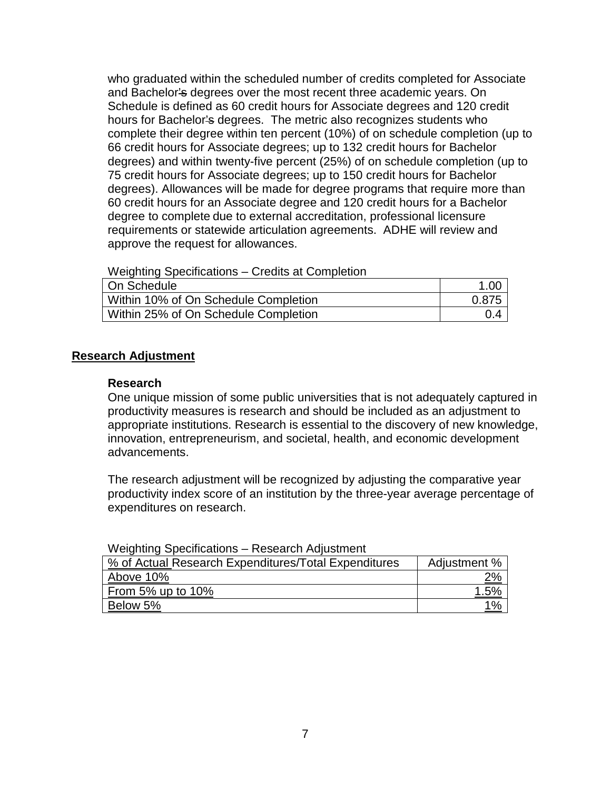who graduated within the scheduled number of credits completed for Associate and Bachelor's degrees over the most recent three academic years. On Schedule is defined as 60 credit hours for Associate degrees and 120 credit hours for Bachelor's degrees. The metric also recognizes students who complete their degree within ten percent (10%) of on schedule completion (up to 66 credit hours for Associate degrees; up to 132 credit hours for Bachelor degrees) and within twenty-five percent (25%) of on schedule completion (up to 75 credit hours for Associate degrees; up to 150 credit hours for Bachelor degrees). Allowances will be made for degree programs that require more than 60 credit hours for an Associate degree and 120 credit hours for a Bachelor degree to complete due to external accreditation, professional licensure requirements or statewide articulation agreements. ADHE will review and approve the request for allowances.

Weighting Specifications – Credits at Completion

| On Schedule                          | 1.00  |
|--------------------------------------|-------|
| Within 10% of On Schedule Completion | 0.875 |
| Within 25% of On Schedule Completion | 0.4   |

### **Research Adjustment**

#### **Research**

One unique mission of some public universities that is not adequately captured in productivity measures is research and should be included as an adjustment to appropriate institutions. Research is essential to the discovery of new knowledge, innovation, entrepreneurism, and societal, health, and economic development advancements.

The research adjustment will be recognized by adjusting the comparative year productivity index score of an institution by the three-year average percentage of expenditures on research.

| % of Actual Research Expenditures/Total Expenditures | Adjustment % |
|------------------------------------------------------|--------------|
| Above 10%                                            | 2%           |
| From 5% up to $10\%$                                 |              |
| Below 5%                                             | 1%           |

Weighting Specifications – Research Adjustment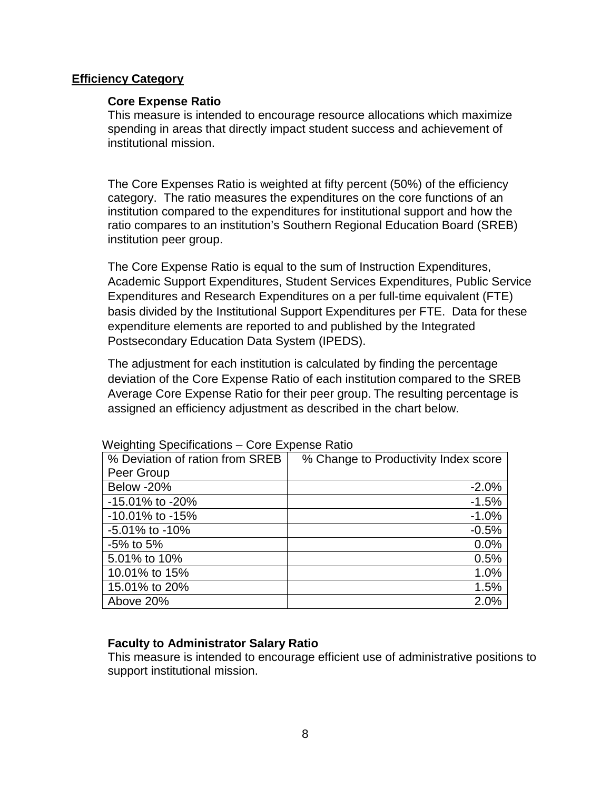### **Efficiency Category**

### **Core Expense Ratio**

This measure is intended to encourage resource allocations which maximize spending in areas that directly impact student success and achievement of institutional mission.

The Core Expenses Ratio is weighted at fifty percent (50%) of the efficiency category. The ratio measures the expenditures on the core functions of an institution compared to the expenditures for institutional support and how the ratio compares to an institution's Southern Regional Education Board (SREB) institution peer group.

The Core Expense Ratio is equal to the sum of Instruction Expenditures, Academic Support Expenditures, Student Services Expenditures, Public Service Expenditures and Research Expenditures on a per full-time equivalent (FTE) basis divided by the Institutional Support Expenditures per FTE. Data for these expenditure elements are reported to and published by the Integrated Postsecondary Education Data System (IPEDS).

The adjustment for each institution is calculated by finding the percentage deviation of the Core Expense Ratio of each institution compared to the SREB Average Core Expense Ratio for their peer group. The resulting percentage is assigned an efficiency adjustment as described in the chart below.

| % Deviation of ration from SREB | % Change to Productivity Index score |
|---------------------------------|--------------------------------------|
| Peer Group                      |                                      |
| Below -20%                      | $-2.0%$                              |
| -15.01% to -20%                 | $-1.5%$                              |
| -10.01% to -15%                 | $-1.0%$                              |
| $-5.01\%$ to $-10\%$            | $-0.5%$                              |
| $-5\%$ to 5%                    | 0.0%                                 |
| 5.01% to 10%                    | 0.5%                                 |
| 10.01% to 15%                   | 1.0%                                 |
| 15.01% to 20%                   | 1.5%                                 |
| Above 20%                       | 2.0%                                 |

Weighting Specifications – Core Expense Ratio

### **Faculty to Administrator Salary Ratio**

This measure is intended to encourage efficient use of administrative positions to support institutional mission.